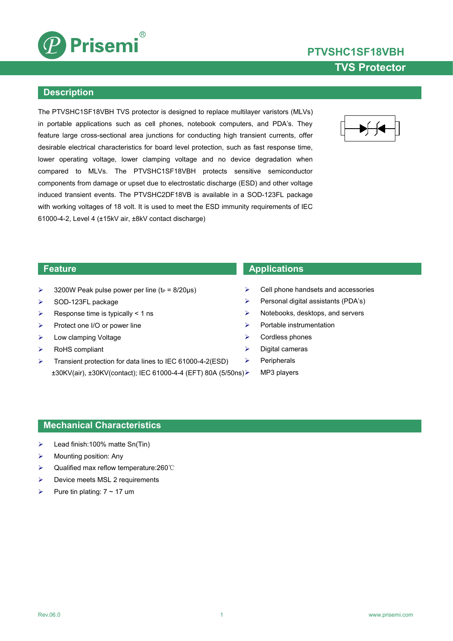

# **PTVSHC1SF18VBH TVS Protector**

### **Description**

The PTVSHC1SF18VBH TVS protector is designed to replace multilayer varistors (MLVs) in portable applications such as cell phones, notebook computers, and PDA's. They feature large cross-sectional area junctions for conducting high transient currents, offer desirable electrical characteristics for board level protection, such as fast response time, lower operating voltage, lower clamping voltage and no device degradation when compared to MLVs. The PTVSHC1SF18VBH protects sensitive semiconductor components from damage or upset due to electrostatic discharge (ESD) and other voltage induced transient events. The PTVSHC2DF18VB is available in a SOD-123FL package with working voltages of 18 volt. It is used to meet the ESD immunity requirements of IEC 61000-4-2, Level 4 (±15kV air, ±8kV contact discharge)



- $\geq$  3200W Peak pulse power per line (t<sub>P</sub> = 8/20us)
- $\triangleright$  SOD-123FL package
- $\triangleright$  Response time is typically < 1 ns
- $\triangleright$  Protect one I/O or power line
- > Low clamping Voltage
- RoHS compliant
- Transient protection for data lines to IEC 61000-4-2(ESD)  $\rightarrow$ ±30KV(air), ±30KV(contact); IEC 61000-4-4 (EFT) 80A (5/50ns)

### **Feature Applications**

- Cell phone handsets and accessories
- $\triangleright$  Personal digital assistants (PDA's)
- $\triangleright$  Notebooks, desktops, and servers
- $\triangleright$  Portable instrumentation
- $\triangleright$  Cordless phones
- $\triangleright$  Digital cameras
	- Peripherals
	- MP3 players

### **Mechanical Characteristics**

- Lead finish:100% matte Sn(Tin)
- $\triangleright$  Mounting position: Any
- Qualified max reflow temperature:260℃
- $\triangleright$  Device meets MSL 2 requirements
- Pure tin plating:  $7 \sim 17$  um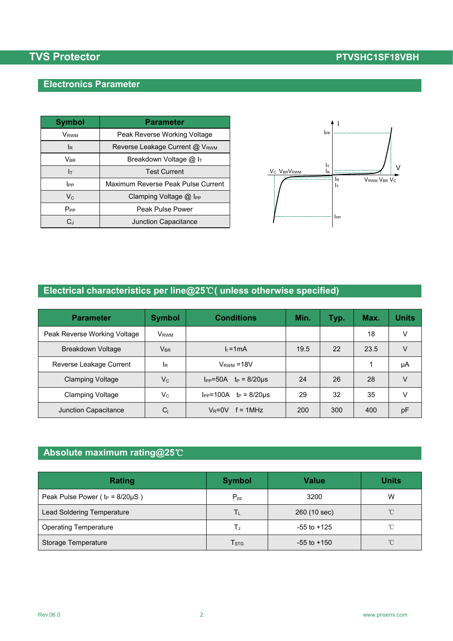## **Electronics Parameter**

| <b>Symbol</b>              | <b>Parameter</b>                   |                                                             |
|----------------------------|------------------------------------|-------------------------------------------------------------|
| <b>V</b> <sub>RWM</sub>    | Peak Reverse Working Voltage       | $_{\rm lpp}$                                                |
| IR.                        | Reverse Leakage Current @ VRWM     |                                                             |
| $\mathsf{V}_{\mathsf{BR}}$ | Breakdown Voltage @ IT             |                                                             |
| Iт                         | <b>Test Current</b>                | Iт<br>V <sub>C</sub> V <sub>BR</sub> V <sub>RWM</sub><br>lR |
| <b>I</b> PP                | Maximum Reverse Peak Pulse Current |                                                             |
| $\mathsf{V}_{\mathsf{C}}$  | Clamping Voltage @ I <sub>PP</sub> |                                                             |
| $P_{PP}$                   | Peak Pulse Power                   |                                                             |
| C,                         | Junction Capacitance               |                                                             |



## **Electrical characteristics per line@25**℃**( unless otherwise specified)**

| <b>Parameter</b>             | <b>Symbol</b>           | <b>Conditions</b>                 | Min. | Typ. | Max. | <b>Units</b> |
|------------------------------|-------------------------|-----------------------------------|------|------|------|--------------|
| Peak Reverse Working Voltage | <b>V</b> <sub>RWM</sub> |                                   |      |      | 18   | $\vee$       |
| Breakdown Voltage            | $V_{BR}$                | $l_t = 1$ mA                      | 19.5 | 22   | 23.5 | V            |
| Reverse Leakage Current      | lR.                     | $V_{RWM} = 18V$                   |      |      |      | μA           |
| <b>Clamping Voltage</b>      | $V_{C}$                 | $I_{PP} = 50A$ $t_P = 8/20 \mu s$ | 24   | 26   | 28   | V            |
| <b>Clamping Voltage</b>      | $V_{C}$                 | $I_{PP} = 100A$ $t_P = 8/20\mu s$ | 29   | 32   | 35   | v            |
| Junction Capacitance         | $C_j$                   | $V_R = 0V$ f = 1MHz               | 200  | 300  | 400  | pF           |

## **Absolute maximum rating@25**℃

| Rating                                 | <b>Symbol</b>    | <b>Value</b>    | <b>Units</b>        |
|----------------------------------------|------------------|-----------------|---------------------|
| Peak Pulse Power ( $t_P = 8/20\mu S$ ) | $P_{pp}$         | 3200            | W                   |
| Lead Soldering Temperature             | Tι               | 260 (10 sec)    | $^{\circ}$ C        |
| <b>Operating Temperature</b>           |                  | $-55$ to $+125$ | °C                  |
| Storage Temperature                    | T <sub>STG</sub> | $-55$ to $+150$ | $^{\circ}\!{\rm C}$ |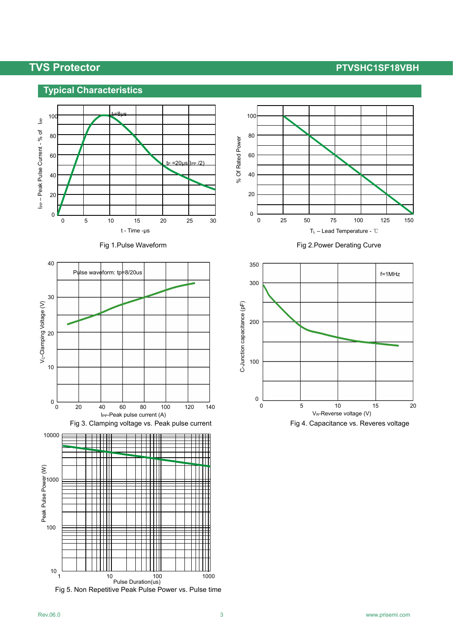## **Typical Characteristics**















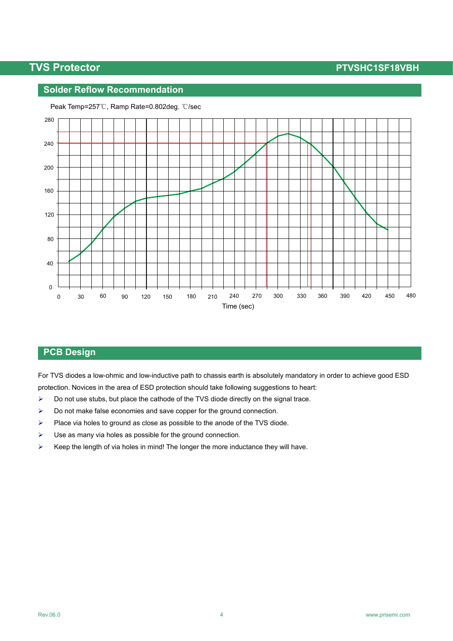### **Solder Reflow Recommendation**



Peak Temp=257℃, Ramp Rate=0.802deg. ℃/sec

### **PCB Design**

For TVS diodes a low-ohmic and low-inductive path to chassis earth is absolutely mandatory in order to achieve good ESD protection. Novices in the area of ESD protection should take following suggestions to heart:

- $\triangleright$  Do not use stubs, but place the cathode of the TVS diode directly on the signal trace.
- $\triangleright$  Do not make false economies and save copper for the ground connection.
- $\triangleright$  Place via holes to ground as close as possible to the anode of the TVS diode.
- $\triangleright$  Use as many via holes as possible for the ground connection.
- $\triangleright$  Keep the length of via holes in mind! The longer the more inductance they will have.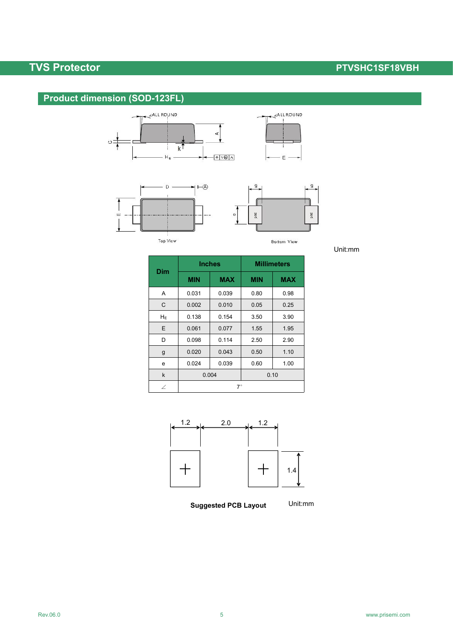## **Product dimension (SOD-123FL)**







Unit:mm

|             | <b>Inches</b> |            | <b>Millimeters</b> |            |  |
|-------------|---------------|------------|--------------------|------------|--|
| <b>Dim</b>  | <b>MIN</b>    | <b>MAX</b> | <b>MIN</b>         | <b>MAX</b> |  |
| Α           | 0.031         | 0.039      | 0.80               | 0.98       |  |
| C           | 0.002         | 0.010      | 0.05               | 0.25       |  |
| $H_E$       | 0.138         | 0.154      | 3.50               | 3.90       |  |
| E           | 0.061         | 0.077      | 1.55               | 1.95       |  |
| D           | 0.098         | 0.114      | 2.50               | 2.90       |  |
| g           | 0.020         | 0.043      | 0.50               | 1.10       |  |
| е           | 0.024         | 0.039      | 0.60               | 1.00       |  |
| $\mathsf k$ | 0.004         |            | 0.10               |            |  |
| $\angle$    | $7^\circ$     |            |                    |            |  |



**Suggested PCB Layout**

Unit:mm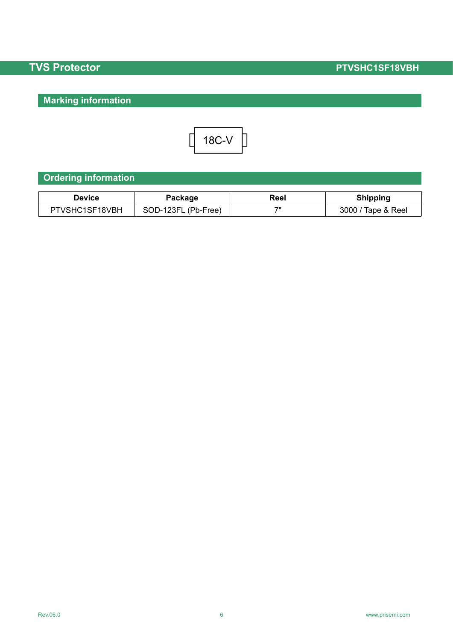# **Marking information**



## **Ordering information**

| Device               | ackage    | Reel | Shipping    |
|----------------------|-----------|------|-------------|
| <b>IVSHC1SF18VBH</b> | SOD-123FL | 711  | 3000        |
| דם                   | (Pb-Free) |      | Tape & Reel |